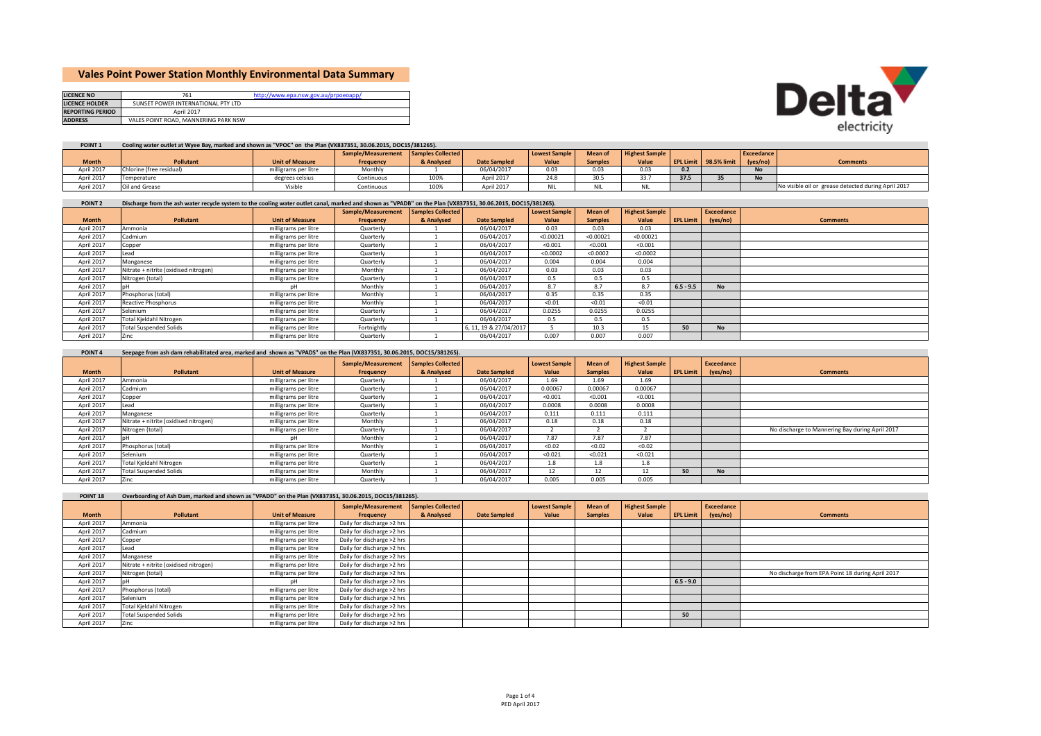# **Vales Point Power Station Monthly Environmental Data Summary**

| <b>LICENCE NO</b>       | 761                                  | http://www.epa.nsw.gov.au/prpoeoapp/ |
|-------------------------|--------------------------------------|--------------------------------------|
| <b>LICENCE HOLDER</b>   | SUNSET POWER INTERNATIONAL PTY LTD   |                                      |
| <b>REPORTING PERIOD</b> | April 2017                           |                                      |
| <b>ADDRESS</b>          | VALES POINT ROAD, MANNERING PARK NSW |                                      |



### POINT 1 Cooling water outlet at Wyee Bay, marked and shown as "VPOC" on the Plan (VX837351, 30.06.2015, DOC15/381265).

|              |                          |                        | Sample/Measurement Samples Collected |            |                     | <b>Lowest Sample</b> | <b>Mean of</b> | <b>Highest Sample</b> |      |                       | Exceedance |                                                     |
|--------------|--------------------------|------------------------|--------------------------------------|------------|---------------------|----------------------|----------------|-----------------------|------|-----------------------|------------|-----------------------------------------------------|
| <b>Month</b> | <b>Pollutant</b>         | <b>Unit of Measure</b> | Frequency                            | & Analysed | <b>Date Sampled</b> | Value                | <b>Samples</b> | Value                 |      | EPL Limit 98.5% limit | (yes/no)   | <b>Comments</b>                                     |
| April 2017   | Chlorine (free residual) | milligrams per litre   | Monthly                              |            | 06/04/2017          | 0.03                 | 0.03           | 0.03                  | 0.2  |                       | <b>No</b>  |                                                     |
| April 2017   | Temperature              | degrees celsius        | Continuous                           | 100%       | April 2017          | 24.8                 | 30.5           | 33.7                  | 37.5 |                       | <b>No</b>  |                                                     |
| April 2017   | Oil and Grease           | Visible                | Continuous                           | 100%       | April 2017          | <b>NIL</b>           | <b>NIL</b>     | <b>NIL</b>            |      |                       |            | No visible oil or grease detected during April 2017 |

#### POINT 2 Discharge from the ash water recycle system to the cooling water outlet canal, marked and shown as "VPADB" on the Plan (VX837351, 30.06.2015, DOC15/381265).

|              |                                       |                        | Sample/Measurement | <b>Samples Collected</b> |                        | <b>Lowest Sample</b> | Mean of        | <b>Highest Sample</b> |             | Exceedance |                 |
|--------------|---------------------------------------|------------------------|--------------------|--------------------------|------------------------|----------------------|----------------|-----------------------|-------------|------------|-----------------|
| <b>Month</b> | Pollutant                             | <b>Unit of Measure</b> | Frequency          | & Analysed               | <b>Date Sampled</b>    | Value                | <b>Samples</b> | Value                 | EPL Limit   | (yes/no)   | <b>Comments</b> |
| April 2017   | Ammonia                               | milligrams per litre   | Quarterly          |                          | 06/04/2017             | 0.03                 | 0.03           | 0.03                  |             |            |                 |
| April 2017   | Cadmium                               | milligrams per litre   | Quarterly          |                          | 06/04/2017             | < 0.00021            | < 0.00021      | < 0.00021             |             |            |                 |
| April 2017   | Copper                                | milligrams per litre   | Quarterly          |                          | 06/04/2017             | < 0.001              | < 0.001        | < 0.001               |             |            |                 |
| April 2017   | ead                                   | milligrams per litre   | Quarterly          |                          | 06/04/2017             | < 0.0002             | < 0.0002       | < 0.0002              |             |            |                 |
| April 2017   | Manganese                             | milligrams per litre   | Quarterly          |                          | 06/04/2017             | 0.004                | 0.004          | 0.004                 |             |            |                 |
| April 2017   | Nitrate + nitrite (oxidised nitrogen) | milligrams per litre   | Monthly            |                          | 06/04/2017             | 0.03                 | 0.03           | 0.03                  |             |            |                 |
| April 2017   | Nitrogen (total)                      | milligrams per litre   | Quarterly          |                          | 06/04/2017             | 0.5                  | 0.5            | 0.5                   |             |            |                 |
| April 2017   |                                       | nН                     | Monthly            |                          | 06/04/2017             | 8.7                  | 8.7            | 8.7                   | $6.5 - 9.5$ | <b>No</b>  |                 |
| April 2017   | Phosphorus (total)                    | milligrams per litre   | Monthly            |                          | 06/04/2017             | 0.35                 | 0.35           | 0.35                  |             |            |                 |
| April 2017   | Reactive Phosphorus                   | milligrams per litre   | Monthly            |                          | 06/04/2017             | < 0.01               | < 0.01         | < 0.01                |             |            |                 |
| April 2017   | Selenium                              | milligrams per litre   | Quarterly          |                          | 06/04/2017             | 0.0255               | 0.0255         | 0.0255                |             |            |                 |
| April 2017   | Total Kjeldahl Nitrogen               | milligrams per litre   | Quarterly          |                          | 06/04/2017             | 0.5                  | 0.5            | 0.5                   |             |            |                 |
| April 2017   | <b>Total Suspended Solids</b>         | milligrams per litre   | Fortnightly        |                          | 6, 11, 19 & 27/04/2017 |                      | 10.3           | 15                    | 50          | <b>No</b>  |                 |
| April 2017   | Zinc                                  | milligrams per litre   | Quarterly          |                          | 06/04/2017             | 0.007                | 0.007          | 0.007                 |             |            |                 |

| POINT <sub>4</sub> | Seepage from ash dam rehabilitated area, marked and shown as "VPADS" on the Plan (VX837351, 30.06.2015, DOC15/381265). |                        |                    |                   |                     |                      |                |                       |                  |            |                                                 |
|--------------------|------------------------------------------------------------------------------------------------------------------------|------------------------|--------------------|-------------------|---------------------|----------------------|----------------|-----------------------|------------------|------------|-------------------------------------------------|
|                    |                                                                                                                        |                        | Sample/Measurement | Samples Collected |                     | <b>Lowest Sample</b> | Mean of        | <b>Highest Sample</b> |                  | Exceedance |                                                 |
| <b>Month</b>       | Pollutant                                                                                                              | <b>Unit of Measure</b> | Frequency          | & Analysed        | <b>Date Sampled</b> | Value                | <b>Samples</b> | Value                 | <b>EPL Limit</b> | (yes/no)   | <b>Comments</b>                                 |
| April 2017         | Ammonia                                                                                                                | milligrams per litre   | Quarterly          |                   | 06/04/2017          | 1.69                 | 1.69           | 1.69                  |                  |            |                                                 |
| April 2017         | Cadmium                                                                                                                | milligrams per litre   | Quarterly          |                   | 06/04/2017          | 0.00067              | 0.00067        | 0.00067               |                  |            |                                                 |
| April 2017         | Copper                                                                                                                 | milligrams per litre   | Quarterly          |                   | 06/04/2017          | < 0.001              | < 0.001        | < 0.001               |                  |            |                                                 |
| April 2017         | Lead                                                                                                                   | milligrams per litre   | Quarterly          |                   | 06/04/2017          | 0.0008               | 0.0008         | 0.0008                |                  |            |                                                 |
| April 2017         | Manganese                                                                                                              | milligrams per litre   | Quarterly          |                   | 06/04/2017          | 0.111                | 0.111          | 0.111                 |                  |            |                                                 |
| April 2017         | Nitrate + nitrite (oxidised nitrogen)                                                                                  | milligrams per litre   | Monthly            |                   | 06/04/2017          | 0.18                 | 0.18           | 0.18                  |                  |            |                                                 |
| April 2017         | Nitrogen (total)                                                                                                       | milligrams per litre   | Quarterly          |                   | 06/04/2017          |                      |                |                       |                  |            | No discharge to Mannering Bay during April 2017 |
| April 2017         |                                                                                                                        | nH                     | Monthly            |                   | 06/04/2017          | 7.87                 | 7.87           | 7.87                  |                  |            |                                                 |
| April 2017         | Phosphorus (total)                                                                                                     | milligrams per litre   | Monthly            |                   | 06/04/2017          | < 0.02               | < 0.02         | < 0.02                |                  |            |                                                 |
| April 2017         | Selenium                                                                                                               | milligrams per litre   | Quarterly          |                   | 06/04/2017          | < 0.021              | < 0.021        | < 0.021               |                  |            |                                                 |
| April 2017         | Total Kieldahl Nitrogen                                                                                                | milligrams per litre   | Quarterly          |                   | 06/04/2017          | 1.8                  | 1.8            | 1.8                   |                  |            |                                                 |
| April 2017         | <b>Total Suspended Solids</b>                                                                                          | milligrams per litre   | Monthly            |                   | 06/04/2017          | 12                   | 12             | 12                    | 50               | <b>No</b>  |                                                 |
| April 2017         | Zinc                                                                                                                   | milligrams per litre   | Quarterly          |                   | 06/04/2017          | 0.005                | 0.005          | 0.005                 |                  |            |                                                 |

| POINT <sub>18</sub> | Overboarding of Ash Dam, marked and shown as "VPADD" on the Plan (VX837351, 30.06.2015, DOC15/381265). |                        |                            |                   |                     |                      |                |                       |                  |            |                                                  |
|---------------------|--------------------------------------------------------------------------------------------------------|------------------------|----------------------------|-------------------|---------------------|----------------------|----------------|-----------------------|------------------|------------|--------------------------------------------------|
|                     |                                                                                                        |                        | Sample/Measurement         | Samples Collected |                     | <b>Lowest Sample</b> | Mean of        | <b>Highest Sample</b> |                  | Exceedance |                                                  |
| <b>Month</b>        | Pollutant                                                                                              | <b>Unit of Measure</b> | Frequency                  | & Analysed        | <b>Date Sampled</b> | Value                | <b>Samples</b> | Value                 | <b>EPL Limit</b> | (yes/no)   | <b>Comments</b>                                  |
| April 2017          | Ammonia                                                                                                | milligrams per litre   | Daily for discharge >2 hrs |                   |                     |                      |                |                       |                  |            |                                                  |
| April 2017          | Cadmium                                                                                                | milligrams per litre   | Daily for discharge >2 hrs |                   |                     |                      |                |                       |                  |            |                                                  |
| April 2017          | Copper                                                                                                 | milligrams per litre   | Daily for discharge >2 hrs |                   |                     |                      |                |                       |                  |            |                                                  |
| April 2017          | Lead                                                                                                   | milligrams per litre   | Daily for discharge >2 hrs |                   |                     |                      |                |                       |                  |            |                                                  |
| April 2017          | Manganese                                                                                              | milligrams per litre   | Daily for discharge >2 hrs |                   |                     |                      |                |                       |                  |            |                                                  |
| April 2017          | Nitrate + nitrite (oxidised nitrogen)                                                                  | milligrams per litre   | Daily for discharge >2 hrs |                   |                     |                      |                |                       |                  |            |                                                  |
| April 2017          | Nitrogen (total)                                                                                       | milligrams per litre   | Daily for discharge >2 hrs |                   |                     |                      |                |                       |                  |            | No discharge from EPA Point 18 during April 2017 |
| April 2017          |                                                                                                        | nН                     | Daily for discharge >2 hrs |                   |                     |                      |                |                       | $6.5 - 9.0$      |            |                                                  |
| April 2017          | Phosphorus (total)                                                                                     | milligrams per litre   | Daily for discharge >2 hrs |                   |                     |                      |                |                       |                  |            |                                                  |
| April 2017          | Selenium                                                                                               | milligrams per litre   | Daily for discharge >2 hrs |                   |                     |                      |                |                       |                  |            |                                                  |
| April 2017          | Total Kjeldahl Nitrogen                                                                                | milligrams per litre   | Daily for discharge >2 hrs |                   |                     |                      |                |                       |                  |            |                                                  |
| April 2017          | <b>Total Suspended Solids</b>                                                                          | milligrams per litre   | Daily for discharge >2 hrs |                   |                     |                      |                |                       | 50               |            |                                                  |
| April 2017          | Zinc                                                                                                   | milligrams per litre   | Daily for discharge >2 hrs |                   |                     |                      |                |                       |                  |            |                                                  |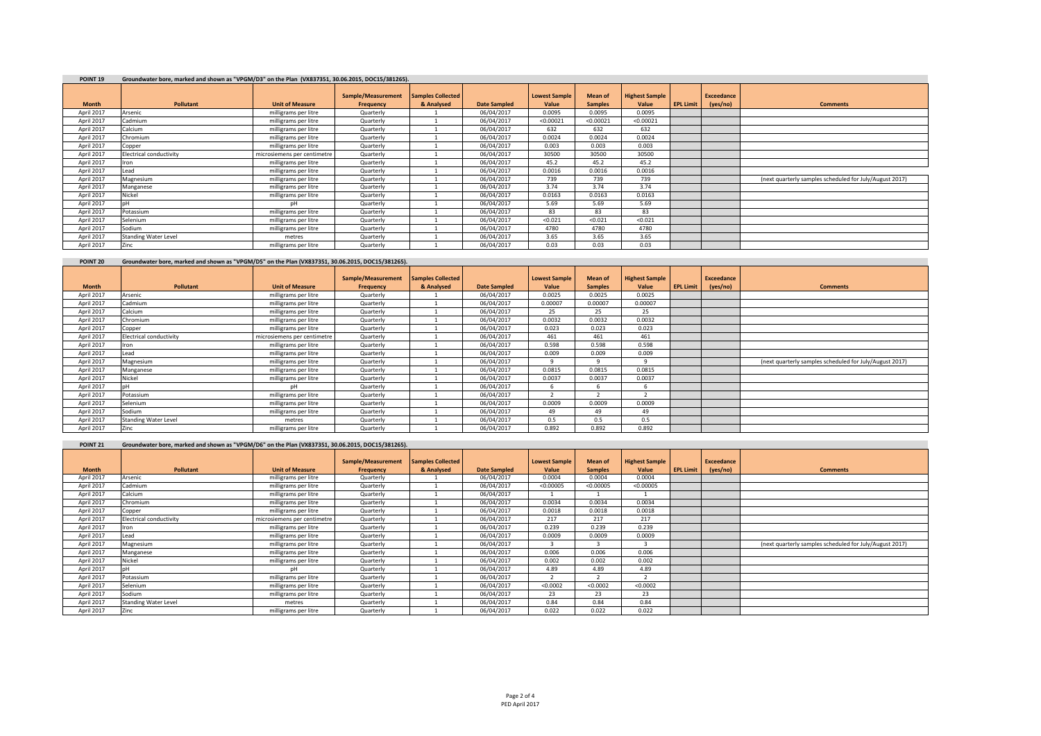| POINT <sub>19</sub> | Groundwater bore, marked and shown as "VPGM/D3" on the Plan (VX837351, 30.06.2015, DOC15/381265). |                             |                    |                          |                     |                      |                |                       |                  |            |                                                         |  |  |
|---------------------|---------------------------------------------------------------------------------------------------|-----------------------------|--------------------|--------------------------|---------------------|----------------------|----------------|-----------------------|------------------|------------|---------------------------------------------------------|--|--|
|                     |                                                                                                   |                             |                    |                          |                     |                      |                |                       |                  |            |                                                         |  |  |
|                     |                                                                                                   |                             | Sample/Measurement | <b>Samples Collected</b> |                     | <b>Lowest Sample</b> | <b>Mean of</b> | <b>Highest Sample</b> |                  | Exceedance |                                                         |  |  |
| <b>Month</b>        | Pollutant                                                                                         | <b>Unit of Measure</b>      | Frequency          | & Analysed               | <b>Date Sampled</b> | Value                | <b>Samples</b> | Value                 | <b>EPL Limit</b> | (yes/no)   | <b>Comments</b>                                         |  |  |
| April 2017          | Arsenic                                                                                           | milligrams per litre        | Quarterly          |                          | 06/04/2017          | 0.0095               | 0.0095         | 0.0095                |                  |            |                                                         |  |  |
| April 2017          | Cadmium                                                                                           | milligrams per litre        | Quarterly          |                          | 06/04/2017          | < 0.00021            | < 0.00021      | < 0.00021             |                  |            |                                                         |  |  |
| April 2017          | Calcium                                                                                           | milligrams per litre        | Quarterly          |                          | 06/04/2017          | 632                  | 632            | 632                   |                  |            |                                                         |  |  |
| April 2017          | Chromium                                                                                          | milligrams per litre        | Quarterly          |                          | 06/04/2017          | 0.0024               | 0.0024         | 0.0024                |                  |            |                                                         |  |  |
| April 2017          | Copper                                                                                            | milligrams per litre        | Quarterly          |                          | 06/04/2017          | 0.003                | 0.003          | 0.003                 |                  |            |                                                         |  |  |
| April 2017          | Electrical conductivity                                                                           | microsiemens per centimetre | Quarterly          |                          | 06/04/2017          | 30500                | 30500          | 30500                 |                  |            |                                                         |  |  |
| April 2017          | Iron                                                                                              | milligrams per litre        | Quarterly          |                          | 06/04/2017          | 45.2                 | 45.2           | 45.2                  |                  |            |                                                         |  |  |
| April 2017          | Lead                                                                                              | milligrams per litre        | Quarterly          |                          | 06/04/2017          | 0.0016               | 0.0016         | 0.0016                |                  |            |                                                         |  |  |
| April 2017          | Magnesium                                                                                         | milligrams per litre        | Quarterly          |                          | 06/04/2017          | 739                  | 739            | 739                   |                  |            | (next quarterly samples scheduled for July/August 2017) |  |  |
| April 2017          | Manganese                                                                                         | milligrams per litre        | Quarterly          |                          | 06/04/2017          | 3.74                 | 3.74           | 3.74                  |                  |            |                                                         |  |  |
| April 2017          | Nickel                                                                                            | milligrams per litre        | Quarterly          |                          | 06/04/2017          | 0.0163               | 0.0163         | 0.0163                |                  |            |                                                         |  |  |
| April 2017          | nН                                                                                                | DH                          | Quarterly          |                          | 06/04/2017          | 5.69                 | 5.69           | 5.69                  |                  |            |                                                         |  |  |
| April 2017          | Potassium                                                                                         | milligrams per litre        | Quarterly          |                          | 06/04/2017          | 83                   | 83             | 83                    |                  |            |                                                         |  |  |
| April 2017          | Selenium                                                                                          | milligrams per litre        | Quarterly          |                          | 06/04/2017          | < 0.021              | < 0.021        | < 0.021               |                  |            |                                                         |  |  |
| April 2017          | Sodium                                                                                            | milligrams per litre        | Quarterly          |                          | 06/04/2017          | 4780                 | 4780           | 4780                  |                  |            |                                                         |  |  |
| April 2017          | <b>Standing Water Level</b>                                                                       | metres                      | Quarterly          |                          | 06/04/2017          | 3.65                 | 3.65           | 3.65                  |                  |            |                                                         |  |  |
| April 2017          | Zinc                                                                                              | milligrams per litre        | Quarterly          |                          | 06/04/2017          | 0.03                 | 0.03           | 0.03                  |                  |            |                                                         |  |  |

## **POINT 20 Groundwater bore, marked and shown as "VPGM/D5" on the Plan (VX837351, 30.06.2015, DOC15/381265).**

|              |                             |                             | Sample/Measurement |                          |                     |                      |                |                       |                  |                   |                                                         |
|--------------|-----------------------------|-----------------------------|--------------------|--------------------------|---------------------|----------------------|----------------|-----------------------|------------------|-------------------|---------------------------------------------------------|
|              |                             |                             |                    | <b>Samples Collected</b> |                     | <b>Lowest Sample</b> | Mean of        | <b>Highest Sample</b> |                  | <b>Exceedance</b> |                                                         |
| <b>Month</b> | <b>Pollutant</b>            | <b>Unit of Measure</b>      | Frequency          | & Analysed               | <b>Date Sampled</b> | Value                | <b>Samples</b> | Value                 | <b>EPL Limit</b> | (yes/no)          | <b>Comments</b>                                         |
| April 2017   | Arsenic                     | milligrams per litre        | Quarterly          |                          | 06/04/2017          | 0.0025               | 0.0025         | 0.0025                |                  |                   |                                                         |
| April 2017   | Cadmium                     | milligrams per litre        | Quarterly          |                          | 06/04/2017          | 0.00007              | 0.00007        | 0.00007               |                  |                   |                                                         |
| April 2017   | Calcium                     | milligrams per litre        | Quarterly          |                          | 06/04/2017          | 25                   | 25             | 25                    |                  |                   |                                                         |
| April 2017   | Chromium                    | milligrams per litre        | Quarterly          |                          | 06/04/2017          | 0.0032               | 0.0032         | 0.0032                |                  |                   |                                                         |
| April 2017   | Copper                      | milligrams per litre        | Quarterly          |                          | 06/04/2017          | 0.023                | 0.023          | 0.023                 |                  |                   |                                                         |
| April 2017   | Electrical conductivity     | microsiemens per centimetre | Quarterly          |                          | 06/04/2017          | 461                  | 461            | 461                   |                  |                   |                                                         |
| April 2017   | <b>Iron</b>                 | milligrams per litre        | Quarterly          |                          | 06/04/2017          | 0.598                | 0.598          | 0.598                 |                  |                   |                                                         |
| April 2017   | Lead                        | milligrams per litre        | Quarterly          |                          | 06/04/2017          | 0.009                | 0.009          | 0.009                 |                  |                   |                                                         |
| April 2017   | Magnesium                   | milligrams per litre        | Quarterly          |                          | 06/04/2017          |                      |                | $\Omega$              |                  |                   | (next quarterly samples scheduled for July/August 2017) |
| April 2017   | Manganese                   | milligrams per litre        | Quarterly          |                          | 06/04/2017          | 0.0815               | 0.0815         | 0.0815                |                  |                   |                                                         |
| April 2017   | Nickel                      | milligrams per litre        | Quarterly          |                          | 06/04/2017          | 0.0037               | 0.0037         | 0.0037                |                  |                   |                                                         |
| April 2017   |                             | DH                          | Quarterly          |                          | 06/04/2017          |                      |                | b                     |                  |                   |                                                         |
| April 2017   | Potassium                   | milligrams per litre        | Quarterly          |                          | 06/04/2017          |                      |                |                       |                  |                   |                                                         |
| April 2017   | Selenium                    | milligrams per litre        | Quarterly          |                          | 06/04/2017          | 0.0009               | 0.0009         | 0.0009                |                  |                   |                                                         |
| April 2017   | Sodium                      | milligrams per litre        | Quarterly          |                          | 06/04/2017          | 49                   | 49             | 49                    |                  |                   |                                                         |
| April 2017   | <b>Standing Water Level</b> | metres                      | Quarterly          |                          | 06/04/2017          | 0.5                  | 0.5            | 0.5                   |                  |                   |                                                         |
| April 2017   | Zinc                        | milligrams per litre        | Quarterly          |                          | 06/04/2017          | 0.892                | 0.892          | 0.892                 |                  |                   |                                                         |

| POINT <sub>21</sub> | Groundwater bore, marked and shown as "VPGM/D6" on the Plan (VX837351, 30.06.2015, DOC15/381265). |                             |                                 |                                        |                     |                               |                                  |                                |                  |                               |                                                         |
|---------------------|---------------------------------------------------------------------------------------------------|-----------------------------|---------------------------------|----------------------------------------|---------------------|-------------------------------|----------------------------------|--------------------------------|------------------|-------------------------------|---------------------------------------------------------|
| <b>Month</b>        | Pollutant                                                                                         | <b>Unit of Measure</b>      | Sample/Measurement<br>Frequency | <b>Samples Collected</b><br>& Analysed | <b>Date Sampled</b> | <b>Lowest Sample</b><br>Value | <b>Mean of</b><br><b>Samples</b> | <b>Highest Sample</b><br>Value | <b>EPL Limit</b> | <b>Exceedance</b><br>(yes/no) | <b>Comments</b>                                         |
| April 2017          | Arsenic                                                                                           | milligrams per litre        | Quarterly                       |                                        | 06/04/2017          | 0.0004                        | 0.0004                           | 0.0004                         |                  |                               |                                                         |
| April 2017          | Cadmium                                                                                           | milligrams per litre        | Quarterly                       |                                        | 06/04/2017          | < 0.00005                     | < 0.00005                        | < 0.00005                      |                  |                               |                                                         |
| April 2017          | Calcium                                                                                           | milligrams per litre        | Quarterly                       |                                        | 06/04/2017          |                               |                                  |                                |                  |                               |                                                         |
| April 2017          | Chromium                                                                                          | milligrams per litre        | Quarterly                       |                                        | 06/04/2017          | 0.0034                        | 0.0034                           | 0.0034                         |                  |                               |                                                         |
| April 2017          | Copper                                                                                            | milligrams per litre        | Quarterly                       |                                        | 06/04/2017          | 0.0018                        | 0.0018                           | 0.0018                         |                  |                               |                                                         |
| April 2017          | <b>Electrical conductivity</b>                                                                    | microsiemens per centimetre | Quarterly                       |                                        | 06/04/2017          | 217                           | 217                              | 217                            |                  |                               |                                                         |
| April 2017          | Iron                                                                                              | milligrams per litre        | Quarterly                       |                                        | 06/04/2017          | 0.239                         | 0.239                            | 0.239                          |                  |                               |                                                         |
| April 2017          | Lead                                                                                              | milligrams per litre        | Quarterly                       |                                        | 06/04/2017          | 0.0009                        | 0.0009                           | 0.0009                         |                  |                               |                                                         |
| April 2017          | Magnesium                                                                                         | milligrams per litre        | Quarterly                       |                                        | 06/04/2017          |                               |                                  |                                |                  |                               | (next quarterly samples scheduled for July/August 2017) |
| April 2017          | Manganese                                                                                         | milligrams per litre        | Quarterly                       |                                        | 06/04/2017          | 0.006                         | 0.006                            | 0.006                          |                  |                               |                                                         |
| April 2017          | Nickel                                                                                            | milligrams per litre        | Quarterly                       |                                        | 06/04/2017          | 0.002                         | 0.002                            | 0.002                          |                  |                               |                                                         |
| April 2017          | nН                                                                                                | nH                          | Quarterly                       |                                        | 06/04/2017          | 4.89                          | 4.89                             | 4.89                           |                  |                               |                                                         |
| April 2017          | Potassium                                                                                         | milligrams per litre        | Quarterly                       |                                        | 06/04/2017          |                               |                                  |                                |                  |                               |                                                         |
| April 2017          | Selenium                                                                                          | milligrams per litre        | Quarterly                       |                                        | 06/04/2017          | < 0.0002                      | < 0.0002                         | < 0.0002                       |                  |                               |                                                         |
| April 2017          | Sodium                                                                                            | milligrams per litre        | Quarterly                       |                                        | 06/04/2017          | 23                            | 23                               | 23                             |                  |                               |                                                         |
| April 2017          | <b>Standing Water Level</b>                                                                       | metres                      | Quarterly                       |                                        | 06/04/2017          | 0.84                          | 0.84                             | 0.84                           |                  |                               |                                                         |
| April 2017          | Zinc                                                                                              | milligrams per litre        | Quarterly                       |                                        | 06/04/2017          | 0.022                         | 0.022                            | 0.022                          |                  |                               |                                                         |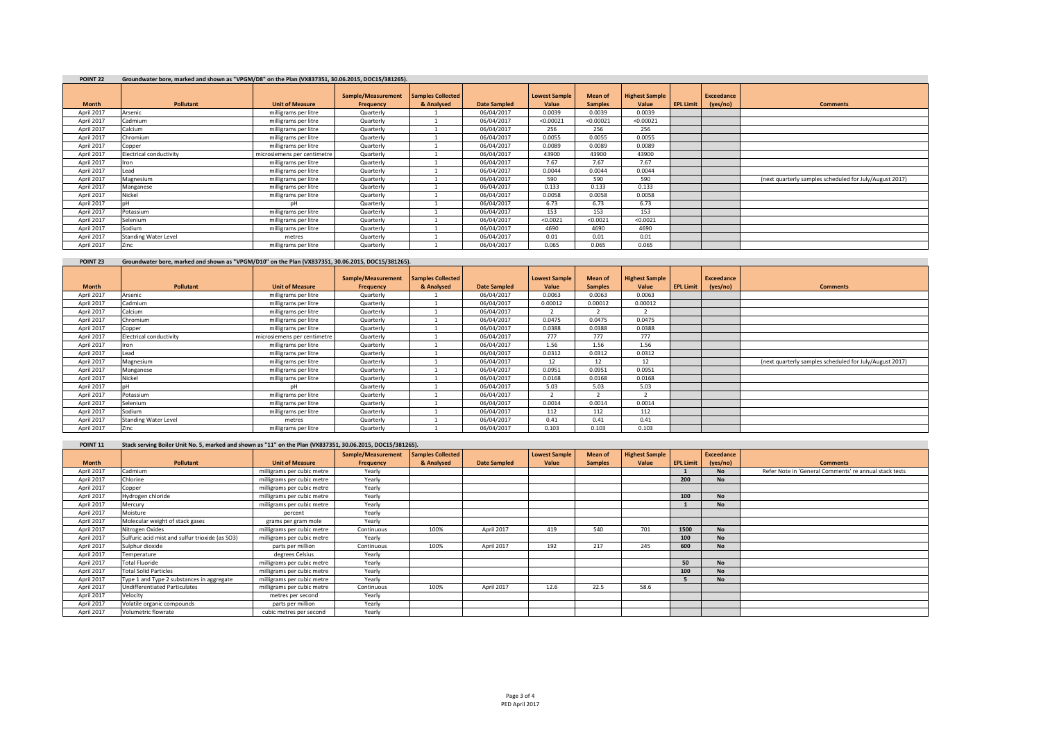| POINT <sub>22</sub> | Groundwater bore, marked and shown as "VPGM/D8" on the Plan (VX837351, 30.06.2015, DOC15/381265). |                             |                    |                          |                     |                      |                |                       |                  |                   |                                                         |  |  |
|---------------------|---------------------------------------------------------------------------------------------------|-----------------------------|--------------------|--------------------------|---------------------|----------------------|----------------|-----------------------|------------------|-------------------|---------------------------------------------------------|--|--|
|                     |                                                                                                   |                             | Sample/Measurement | <b>Samples Collected</b> |                     | <b>Lowest Sample</b> | Mean of        | <b>Highest Sample</b> |                  | <b>Exceedance</b> |                                                         |  |  |
| <b>Month</b>        | Pollutant                                                                                         | <b>Unit of Measure</b>      | Frequency          | & Analysed               | <b>Date Sampled</b> | Value                | <b>Samples</b> | Value                 | <b>EPL Limit</b> | (yes/no)          | <b>Comments</b>                                         |  |  |
| April 2017          | Arsenic                                                                                           | milligrams per litre        | Quarterly          |                          | 06/04/2017          | 0.0039               | 0.0039         | 0.0039                |                  |                   |                                                         |  |  |
| April 2017          | Cadmium                                                                                           | milligrams per litre        | Quarterly          |                          | 06/04/2017          | < 0.00021            | < 0.00021      | < 0.00021             |                  |                   |                                                         |  |  |
| April 2017          | Calcium                                                                                           | milligrams per litre        | Quarterly          |                          | 06/04/2017          | 256                  | 256            | 256                   |                  |                   |                                                         |  |  |
| April 2017          | Chromium                                                                                          | milligrams per litre        | Quarterly          |                          | 06/04/2017          | 0.0055               | 0.0055         | 0.0055                |                  |                   |                                                         |  |  |
| April 2017          | Copper                                                                                            | milligrams per litre        | Quarterly          |                          | 06/04/2017          | 0.0089               | 0.0089         | 0.0089                |                  |                   |                                                         |  |  |
| April 2017          | Electrical conductivity                                                                           | microsiemens per centimetre | Quarterly          |                          | 06/04/2017          | 43900                | 43900          | 43900                 |                  |                   |                                                         |  |  |
| April 2017          | Iron                                                                                              | milligrams per litre        | Quarterly          |                          | 06/04/2017          | 7.67                 | 7.67           | 7.67                  |                  |                   |                                                         |  |  |
| April 2017          | Lead                                                                                              | milligrams per litre        | Quarterly          |                          | 06/04/2017          | 0.0044               | 0.0044         | 0.0044                |                  |                   |                                                         |  |  |
| April 2017          | Magnesium                                                                                         | milligrams per litre        | Quarterly          |                          | 06/04/2017          | 590                  | 590            | 590                   |                  |                   | (next quarterly samples scheduled for July/August 2017) |  |  |
| April 2017          | Manganese                                                                                         | milligrams per litre        | Quarterly          |                          | 06/04/2017          | 0.133                | 0.133          | 0.133                 |                  |                   |                                                         |  |  |
| April 2017          | Nickel                                                                                            | milligrams per litre        | Quarterly          |                          | 06/04/2017          | 0.0058               | 0.0058         | 0.0058                |                  |                   |                                                         |  |  |
| April 2017          | DН                                                                                                | nН                          | Quarterly          |                          | 06/04/2017          | 6.73                 | 6.73           | 6.73                  |                  |                   |                                                         |  |  |
| April 2017          | Potassium                                                                                         | milligrams per litre        | Quarterly          |                          | 06/04/2017          | 153                  | 153            | 153                   |                  |                   |                                                         |  |  |
| April 2017          | Selenium                                                                                          | milligrams per litre        | Quarterly          |                          | 06/04/2017          | < 0.0021             | < 0.0021       | < 0.0021              |                  |                   |                                                         |  |  |
| April 2017          | Sodium                                                                                            | milligrams per litre        | Quarterly          |                          | 06/04/2017          | 4690                 | 4690           | 4690                  |                  |                   |                                                         |  |  |
| April 2017          | <b>Standing Water Level</b>                                                                       | metres                      | Quarterly          |                          | 06/04/2017          | 0.01                 | 0.01           | 0.01                  |                  |                   |                                                         |  |  |
| April 2017          | Zinc                                                                                              | milligrams per litre        | Quarterly          |                          | 06/04/2017          | 0.065                | 0.065          | 0.065                 |                  |                   |                                                         |  |  |

**POINT 23 Groundwater bore, marked and shown as "VPGM/D10" on the Plan (VX837351, 30.06.2015, DOC15/381265).**

|              |                             |                             | Sample/Measurement | <b>Samples Collected</b> |                     | <b>Lowest Sample</b> | Mean of        | <b>Highest Sample</b> |                  | <b>Exceedance</b> |                                                         |
|--------------|-----------------------------|-----------------------------|--------------------|--------------------------|---------------------|----------------------|----------------|-----------------------|------------------|-------------------|---------------------------------------------------------|
| <b>Month</b> | <b>Pollutant</b>            | <b>Unit of Measure</b>      | Frequency          | & Analysed               | <b>Date Sampled</b> | Value                | <b>Samples</b> | Value                 | <b>EPL Limit</b> | (yes/no)          | <b>Comments</b>                                         |
| April 2017   | Arsenic                     | milligrams per litre        | Quarterly          |                          | 06/04/2017          | 0.0063               | 0.0063         | 0.0063                |                  |                   |                                                         |
| April 2017   | Cadmium                     | milligrams per litre        | Quarterly          |                          | 06/04/2017          | 0.00012              | 0.00012        | 0.00012               |                  |                   |                                                         |
| April 2017   | Calcium                     | milligrams per litre        | Quarterly          |                          | 06/04/2017          |                      |                |                       |                  |                   |                                                         |
| April 2017   | Chromium                    | milligrams per litre        | Quarterly          |                          | 06/04/2017          | 0.0475               | 0.0475         | 0.0475                |                  |                   |                                                         |
| April 2017   | Copper                      | milligrams per litre        | Quarterly          |                          | 06/04/2017          | 0.0388               | 0.0388         | 0.0388                |                  |                   |                                                         |
| April 2017   | Electrical conductivity     | microsiemens per centimetre | Quarterly          |                          | 06/04/2017          | 777                  | 777            | 777                   |                  |                   |                                                         |
| April 2017   | ron                         | milligrams per litre        | Quarterly          |                          | 06/04/2017          | 1.56                 | 1.56           | 1.56                  |                  |                   |                                                         |
| April 2017   | Lead                        | milligrams per litre        | Quarterly          |                          | 06/04/2017          | 0.0312               | 0.0312         | 0.0312                |                  |                   |                                                         |
| April 2017   | Magnesium                   | milligrams per litre        | Quarterly          |                          | 06/04/2017          | 12                   | 12             | 12                    |                  |                   | (next quarterly samples scheduled for July/August 2017) |
| April 2017   | Manganese                   | milligrams per litre        | Quarterly          |                          | 06/04/2017          | 0.0951               | 0.0951         | 0.0951                |                  |                   |                                                         |
| April 2017   | Nickel                      | milligrams per litre        | Quarterly          |                          | 06/04/2017          | 0.0168               | 0.0168         | 0.0168                |                  |                   |                                                         |
| April 2017   |                             | pН                          | Quarterly          |                          | 06/04/2017          | 5.03                 | 5.03           | 5.03                  |                  |                   |                                                         |
| April 2017   | Potassium                   | milligrams per litre        | Quarterly          |                          | 06/04/2017          |                      |                |                       |                  |                   |                                                         |
| April 2017   | Selenium                    | milligrams per litre        | Quarterly          |                          | 06/04/2017          | 0.0014               | 0.0014         | 0.0014                |                  |                   |                                                         |
| April 2017   | Sodium                      | milligrams per litre        | Quarterly          |                          | 06/04/2017          | 112                  | 112            | 112                   |                  |                   |                                                         |
| April 2017   | <b>Standing Water Level</b> | metres                      | Quarterly          |                          | 06/04/2017          | 0.41                 | 0.41           | 0.41                  |                  |                   |                                                         |
| April 2017   | Zinc                        | milligrams per litre        | Quarterly          |                          | 06/04/2017          | 0.103                | 0.103          | 0.103                 |                  |                   |                                                         |

| POINT <sub>11</sub> | Stack serving Boiler Unit No. 5, marked and shown as "11" on the Plan (VX837351, 30.06.2015, DOC15/381265). |                            |                    |                   |                     |                      |                |                       |                  |            |                                                        |
|---------------------|-------------------------------------------------------------------------------------------------------------|----------------------------|--------------------|-------------------|---------------------|----------------------|----------------|-----------------------|------------------|------------|--------------------------------------------------------|
|                     |                                                                                                             |                            | Sample/Measurement | Samples Collected |                     | <b>Lowest Sample</b> | Mean of        | <b>Highest Sample</b> |                  | Exceedance |                                                        |
| <b>Month</b>        | Pollutant                                                                                                   | <b>Unit of Measure</b>     | Frequency          | & Analysed        | <b>Date Sampled</b> | Value                | <b>Samples</b> | Value                 | <b>EPL Limit</b> | (yes/no)   | <b>Comments</b>                                        |
| April 2017          | Cadmium                                                                                                     | milligrams per cubic metre | Yearly             |                   |                     |                      |                |                       |                  | <b>No</b>  | Refer Note in 'General Comments' re annual stack tests |
| April 2017          | Chlorine                                                                                                    | milligrams per cubic metre | Yearly             |                   |                     |                      |                |                       | 200              | <b>No</b>  |                                                        |
| April 2017          | Copper                                                                                                      | milligrams per cubic metre | Yearly             |                   |                     |                      |                |                       |                  |            |                                                        |
| April 2017          | Hydrogen chloride                                                                                           | milligrams per cubic metre | Yearly             |                   |                     |                      |                |                       | 100              | <b>No</b>  |                                                        |
| April 2017          | Mercury                                                                                                     | milligrams per cubic metre | Yearly             |                   |                     |                      |                |                       |                  | <b>No</b>  |                                                        |
| April 2017          | Moisture                                                                                                    | percent                    | Yearly             |                   |                     |                      |                |                       |                  |            |                                                        |
| April 2017          | Molecular weight of stack gases                                                                             | grams per gram mole        | Yearly             |                   |                     |                      |                |                       |                  |            |                                                        |
| April 2017          | Nitrogen Oxides                                                                                             | milligrams per cubic metre | Continuous         | 100%              | April 2017          | 419                  | 540            | 701                   | 1500             | <b>No</b>  |                                                        |
| April 2017          | Sulfuric acid mist and sulfur trioxide (as SO3)                                                             | milligrams per cubic metre | Yearly             |                   |                     |                      |                |                       | 100              | <b>No</b>  |                                                        |
| April 2017          | Sulphur dioxide                                                                                             | parts per million          | Continuous         | 100%              | April 2017          | 192                  | 217            | 245                   | 600              | <b>No</b>  |                                                        |
| April 2017          | Temperature                                                                                                 | degrees Celsius            | Yearly             |                   |                     |                      |                |                       |                  |            |                                                        |
| April 2017          | <b>Total Fluoride</b>                                                                                       | milligrams per cubic metre | Yearly             |                   |                     |                      |                |                       | 50               | <b>No</b>  |                                                        |
| April 2017          | <b>Total Solid Particles</b>                                                                                | milligrams per cubic metre | Yearly             |                   |                     |                      |                |                       | 100              | <b>No</b>  |                                                        |
| April 2017          | Type 1 and Type 2 substances in aggregate                                                                   | milligrams per cubic metre | Yearly             |                   |                     |                      |                |                       |                  | <b>No</b>  |                                                        |
| April 2017          | <b>Undifferentiated Particulates</b>                                                                        | milligrams per cubic metre | Continuous         | 100%              | April 2017          | 12.6                 | 22.5           | 58.6                  |                  |            |                                                        |
| April 2017          | Velocity                                                                                                    | metres per second          | Yearly             |                   |                     |                      |                |                       |                  |            |                                                        |
| April 2017          | Volatile organic compounds                                                                                  | parts per million          | Yearly             |                   |                     |                      |                |                       |                  |            |                                                        |
| April 2017          | Volumetric flowrate                                                                                         | cubic metres per second    | Yearly             |                   |                     |                      |                |                       |                  |            |                                                        |